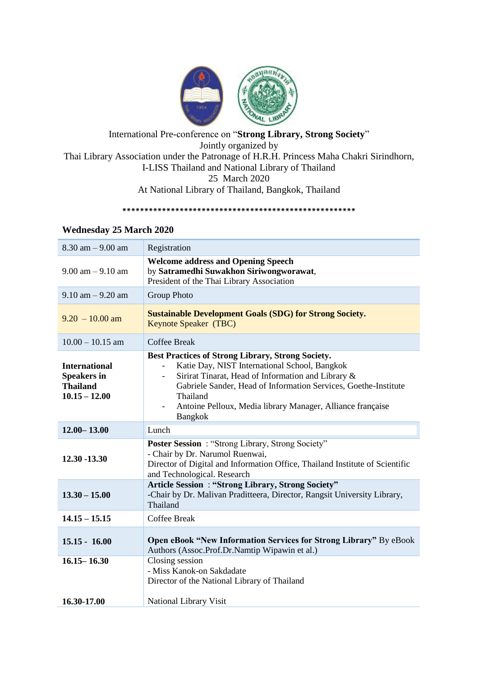

# International Pre-conference on "**Strong Library, Strong Society**" Jointly organized by Thai Library Association under the Patronage of H.R.H. Princess Maha Chakri Sirindhorn, I-LISS Thailand and National Library of Thailand 25 March 2020 At National Library of Thailand, Bangkok, Thailand

**\*\*\*\*\*\*\*\*\*\*\*\*\*\*\*\*\*\*\*\*\*\*\*\*\*\*\*\*\*\*\*\*\*\*\*\*\*\*\*\*\*\*\*\*\*\*\*\*\*\*\*\*\***

### **Wednesday 25 March 2020**

| $8.30$ am $- 9.00$ am                                                            | Registration                                                                                                                                                                                                                                                                                                                   |
|----------------------------------------------------------------------------------|--------------------------------------------------------------------------------------------------------------------------------------------------------------------------------------------------------------------------------------------------------------------------------------------------------------------------------|
| $9.00$ am $- 9.10$ am                                                            | <b>Welcome address and Opening Speech</b><br>by Satramedhi Suwakhon Siriwongworawat,<br>President of the Thai Library Association                                                                                                                                                                                              |
| $9.10$ am $- 9.20$ am                                                            | <b>Group Photo</b>                                                                                                                                                                                                                                                                                                             |
| $9.20 - 10.00$ am                                                                | <b>Sustainable Development Goals (SDG) for Strong Society.</b><br>Keynote Speaker (TBC)                                                                                                                                                                                                                                        |
| $10.00 - 10.15$ am                                                               | <b>Coffee Break</b>                                                                                                                                                                                                                                                                                                            |
| <b>International</b><br><b>Speakers in</b><br><b>Thailand</b><br>$10.15 - 12.00$ | <b>Best Practices of Strong Library, Strong Society.</b><br>Katie Day, NIST International School, Bangkok<br>Sirirat Tinarat, Head of Information and Library &<br>Gabriele Sander, Head of Information Services, Goethe-Institute<br>Thailand<br>Antoine Pelloux, Media library Manager, Alliance française<br><b>Bangkok</b> |
| $12.00 - 13.00$                                                                  | Lunch                                                                                                                                                                                                                                                                                                                          |
| 12.30 -13.30                                                                     | <b>Poster Session</b> : "Strong Library, Strong Society"<br>- Chair by Dr. Narumol Ruenwai,<br>Director of Digital and Information Office, Thailand Institute of Scientific                                                                                                                                                    |
|                                                                                  | and Technological. Research                                                                                                                                                                                                                                                                                                    |
| $13.30 - 15.00$                                                                  | <b>Article Session: "Strong Library, Strong Society"</b><br>-Chair by Dr. Malivan Praditteera, Director, Rangsit University Library,<br>Thailand                                                                                                                                                                               |
| $14.15 - 15.15$                                                                  | <b>Coffee Break</b>                                                                                                                                                                                                                                                                                                            |
| $15.15 - 16.00$                                                                  | Open eBook "New Information Services for Strong Library" By eBook<br>Authors (Assoc.Prof.Dr.Namtip Wipawin et al.)                                                                                                                                                                                                             |
| $16.15 - 16.30$                                                                  | Closing session<br>- Miss Kanok-on Sakdadate<br>Director of the National Library of Thailand                                                                                                                                                                                                                                   |